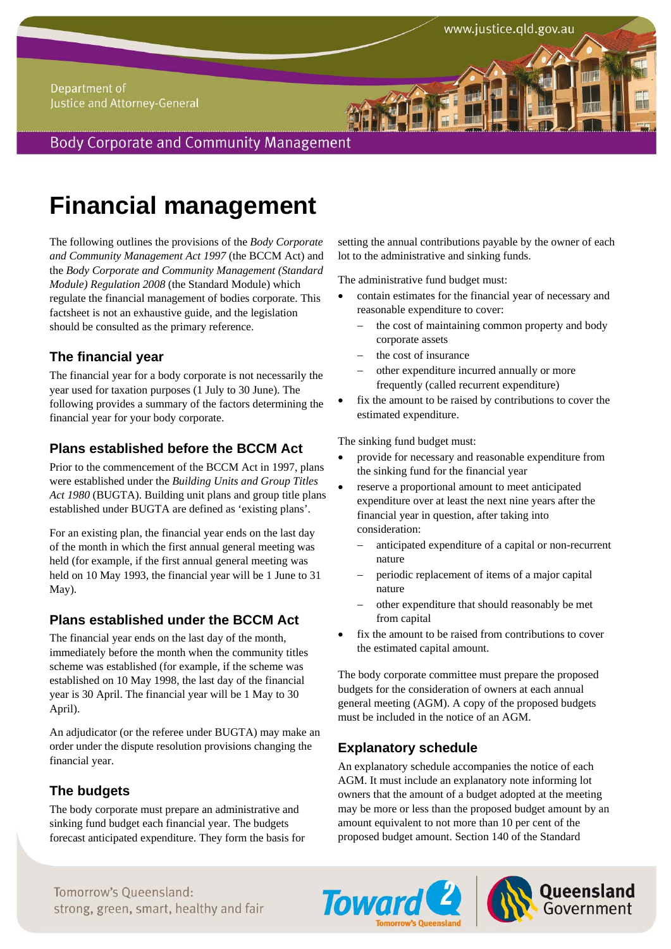## Department of Justice and Attorney-General

**Body Corporate and Community Management** 

# **Financial management**

The following outlines the provisions of the *Body Corporate and Community Management Act 1997* (the BCCM Act) and the *Body Corporate and Community Management (Standard Module) Regulation 2008* (the Standard Module) which regulate the financial management of bodies corporate. This factsheet is not an exhaustive guide, and the legislation should be consulted as the primary reference.

# **The financial year**

The financial year for a body corporate is not necessarily the year used for taxation purposes (1 July to 30 June). The following provides a summary of the factors determining the financial year for your body corporate.

# **Plans established before the BCCM Act**

Prior to the commencement of the BCCM Act in 1997, plans were established under the *Building Units and Group Titles Act 1980* (BUGTA). Building unit plans and group title plans established under BUGTA are defined as 'existing plans'.

For an existing plan, the financial year ends on the last day of the month in which the first annual general meeting was held (for example, if the first annual general meeting was held on 10 May 1993, the financial year will be 1 June to 31 May).

# **Plans established under the BCCM Act**

The financial year ends on the last day of the month, immediately before the month when the community titles scheme was established (for example, if the scheme was established on 10 May 1998, the last day of the financial year is 30 April. The financial year will be 1 May to 30 April).

An adjudicator (or the referee under BUGTA) may make an order under the dispute resolution provisions changing the financial year.

# **The budgets**

The body corporate must prepare an administrative and sinking fund budget each financial year. The budgets forecast anticipated expenditure. They form the basis for setting the annual contributions payable by the owner of each lot to the administrative and sinking funds.

The administrative fund budget must:

- contain estimates for the financial year of necessary and reasonable expenditure to cover:
	- $\theta$  the cost of maintaining common property and body corporate assets
	- the cost of insurance
	- other expenditure incurred annually or more frequently (called recurrent expenditure)
- fix the amount to be raised by contributions to cover the estimated expenditure.

The sinking fund budget must:

- provide for necessary and reasonable expenditure from the sinking fund for the financial year
- reserve a proportional amount to meet anticipated expenditure over at least the next nine years after the financial year in question, after taking into consideration:
	- anticipated expenditure of a capital or non-recurrent nature
	- periodic replacement of items of a major capital nature
	- other expenditure that should reasonably be met from capital
- fix the amount to be raised from contributions to cover the estimated capital amount.

The body corporate committee must prepare the proposed budgets for the consideration of owners at each annual general meeting (AGM). A copy of the proposed budgets must be included in the notice of an AGM.

# **Explanatory schedule**

An explanatory schedule accompanies the notice of each AGM. It must include an explanatory note informing lot owners that the amount of a budget adopted at the meeting may be more or less than the proposed budget amount by an amount equivalent to not more than 10 per cent of the proposed budget amount. Section 140 of the Standard

*Fomorrow's Queensland:* Tomorrow's Queensland: Toward 2 | **Queensland** Tomorrow's Oueensland:



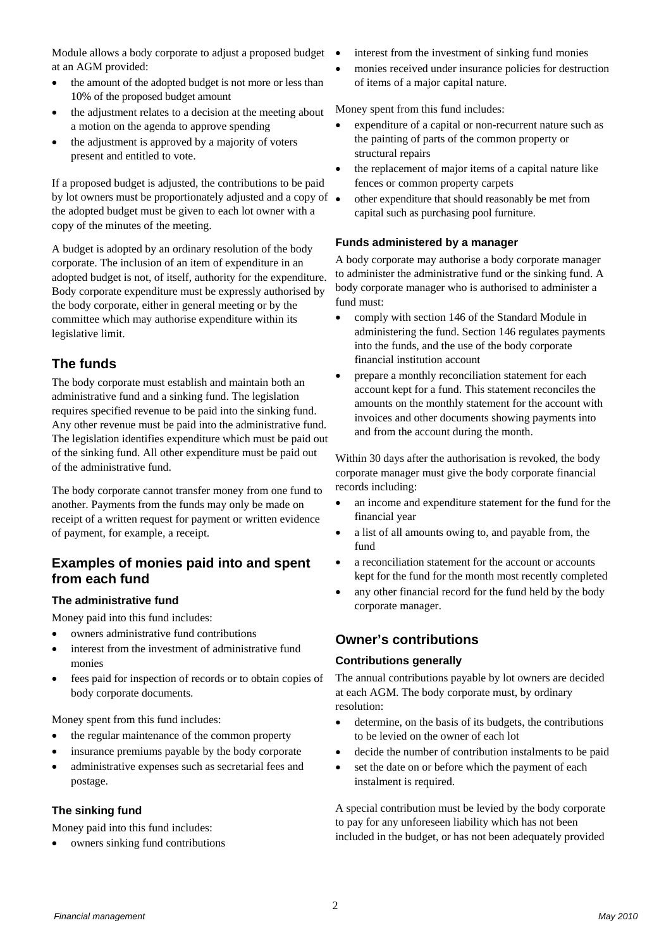Module allows a body corporate to adjust a proposed budget at an AGM provided:

- the amount of the adopted budget is not more or less than 10% of the proposed budget amount
- the adjustment relates to a decision at the meeting about a motion on the agenda to approve spending
- the adjustment is approved by a majority of voters present and entitled to vote.

If a proposed budget is adjusted, the contributions to be paid by lot owners must be proportionately adjusted and a copy of  $\bullet$ the adopted budget must be given to each lot owner with a copy of the minutes of the meeting.

A budget is adopted by an ordinary resolution of the body corporate. The inclusion of an item of expenditure in an adopted budget is not, of itself, authority for the expenditure. Body corporate expenditure must be expressly authorised by the body corporate, either in general meeting or by the committee which may authorise expenditure within its legislative limit.

# **The funds**

The body corporate must establish and maintain both an administrative fund and a sinking fund. The legislation requires specified revenue to be paid into the sinking fund. Any other revenue must be paid into the administrative fund. The legislation identifies expenditure which must be paid out of the sinking fund. All other expenditure must be paid out of the administrative fund.

The body corporate cannot transfer money from one fund to another. Payments from the funds may only be made on receipt of a written request for payment or written evidence of payment, for example, a receipt.

## **Examples of monies paid into and spent from each fund**

## **The administrative fund**

Money paid into this fund includes:

- owners administrative fund contributions
- interest from the investment of administrative fund monies
- fees paid for inspection of records or to obtain copies of body corporate documents.

Money spent from this fund includes:

- the regular maintenance of the common property
- insurance premiums payable by the body corporate
- administrative expenses such as secretarial fees and postage.

#### **The sinking fund**

Money paid into this fund includes:

owners sinking fund contributions

- interest from the investment of sinking fund monies
- monies received under insurance policies for destruction of items of a major capital nature.

Money spent from this fund includes:

- expenditure of a capital or non-recurrent nature such as the painting of parts of the common property or structural repairs
- the replacement of major items of a capital nature like fences or common property carpets
- other expenditure that should reasonably be met from capital such as purchasing pool furniture.

#### **Funds administered by a manager**

A body corporate may authorise a body corporate manager to administer the administrative fund or the sinking fund. A body corporate manager who is authorised to administer a fund must:

- comply with section 146 of the Standard Module in administering the fund. Section 146 regulates payments into the funds, and the use of the body corporate financial institution account
- prepare a monthly reconciliation statement for each account kept for a fund. This statement reconciles the amounts on the monthly statement for the account with invoices and other documents showing payments into and from the account during the month.

Within 30 days after the authorisation is revoked, the body corporate manager must give the body corporate financial records including:

- an income and expenditure statement for the fund for the financial year
- a list of all amounts owing to, and payable from, the fund
- a reconciliation statement for the account or accounts kept for the fund for the month most recently completed
- any other financial record for the fund held by the body corporate manager.

## **Owner's contributions**

#### **Contributions generally**

The annual contributions payable by lot owners are decided at each AGM. The body corporate must, by ordinary resolution:

- determine, on the basis of its budgets, the contributions to be levied on the owner of each lot
- decide the number of contribution instalments to be paid
- set the date on or before which the payment of each instalment is required.

A special contribution must be levied by the body corporate to pay for any unforeseen liability which has not been included in the budget, or has not been adequately provided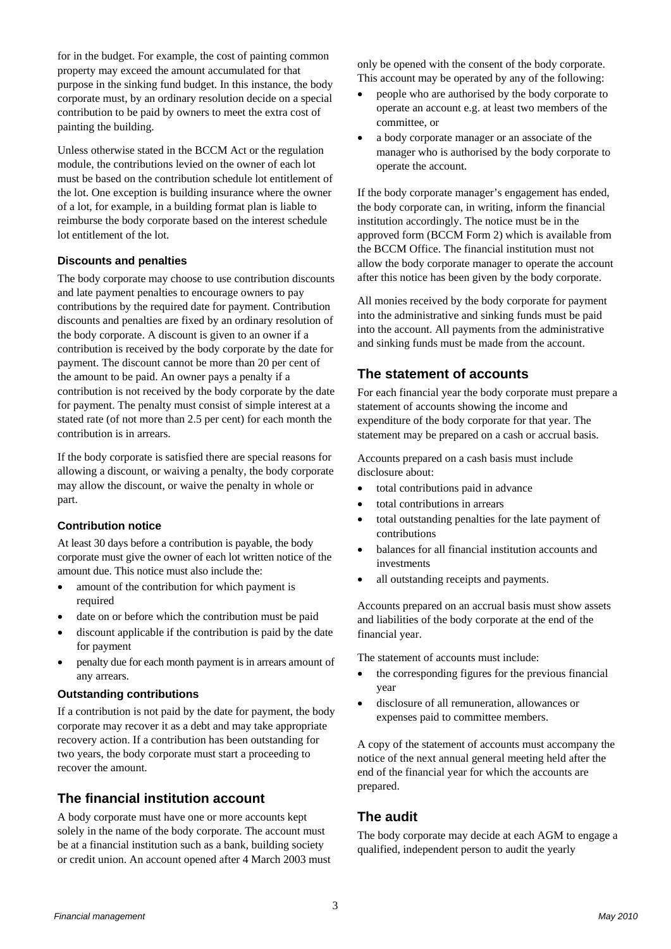for in the budget. For example, the cost of painting common property may exceed the amount accumulated for that purpose in the sinking fund budget. In this instance, the body corporate must, by an ordinary resolution decide on a special contribution to be paid by owners to meet the extra cost of painting the building.

Unless otherwise stated in the BCCM Act or the regulation module, the contributions levied on the owner of each lot must be based on the contribution schedule lot entitlement of the lot. One exception is building insurance where the owner of a lot, for example, in a building format plan is liable to reimburse the body corporate based on the interest schedule lot entitlement of the lot.

#### **Discounts and penalties**

The body corporate may choose to use contribution discounts and late payment penalties to encourage owners to pay contributions by the required date for payment. Contribution discounts and penalties are fixed by an ordinary resolution of the body corporate. A discount is given to an owner if a contribution is received by the body corporate by the date for payment. The discount cannot be more than 20 per cent of the amount to be paid. An owner pays a penalty if a contribution is not received by the body corporate by the date for payment. The penalty must consist of simple interest at a stated rate (of not more than 2.5 per cent) for each month the contribution is in arrears.

If the body corporate is satisfied there are special reasons for allowing a discount, or waiving a penalty, the body corporate may allow the discount, or waive the penalty in whole or part.

## **Contribution notice**

At least 30 days before a contribution is payable, the body corporate must give the owner of each lot written notice of the amount due. This notice must also include the:

- amount of the contribution for which payment is required
- date on or before which the contribution must be paid
- discount applicable if the contribution is paid by the date for payment
- penalty due for each month payment is in arrears amount of any arrears.

#### **Outstanding contributions**

If a contribution is not paid by the date for payment, the body corporate may recover it as a debt and may take appropriate recovery action. If a contribution has been outstanding for two years, the body corporate must start a proceeding to recover the amount.

# **The financial institution account**

A body corporate must have one or more accounts kept solely in the name of the body corporate. The account must be at a financial institution such as a bank, building society or credit union. An account opened after 4 March 2003 must only be opened with the consent of the body corporate. This account may be operated by any of the following:

- people who are authorised by the body corporate to operate an account e.g. at least two members of the committee, or
- a body corporate manager or an associate of the manager who is authorised by the body corporate to operate the account.

If the body corporate manager's engagement has ended, the body corporate can, in writing, inform the financial institution accordingly. The notice must be in the approved form (BCCM Form 2) which is available from the BCCM Office. The financial institution must not allow the body corporate manager to operate the account after this notice has been given by the body corporate.

All monies received by the body corporate for payment into the administrative and sinking funds must be paid into the account. All payments from the administrative and sinking funds must be made from the account.

# **The statement of accounts**

For each financial year the body corporate must prepare a statement of accounts showing the income and expenditure of the body corporate for that year. The statement may be prepared on a cash or accrual basis.

Accounts prepared on a cash basis must include disclosure about:

- total contributions paid in advance
- total contributions in arrears
- total outstanding penalties for the late payment of contributions
- balances for all financial institution accounts and investments
- all outstanding receipts and payments.

Accounts prepared on an accrual basis must show assets and liabilities of the body corporate at the end of the financial year.

The statement of accounts must include:

- the corresponding figures for the previous financial year
- disclosure of all remuneration, allowances or expenses paid to committee members.

A copy of the statement of accounts must accompany the notice of the next annual general meeting held after the end of the financial year for which the accounts are prepared.

## **The audit**

The body corporate may decide at each AGM to engage a qualified, independent person to audit the yearly